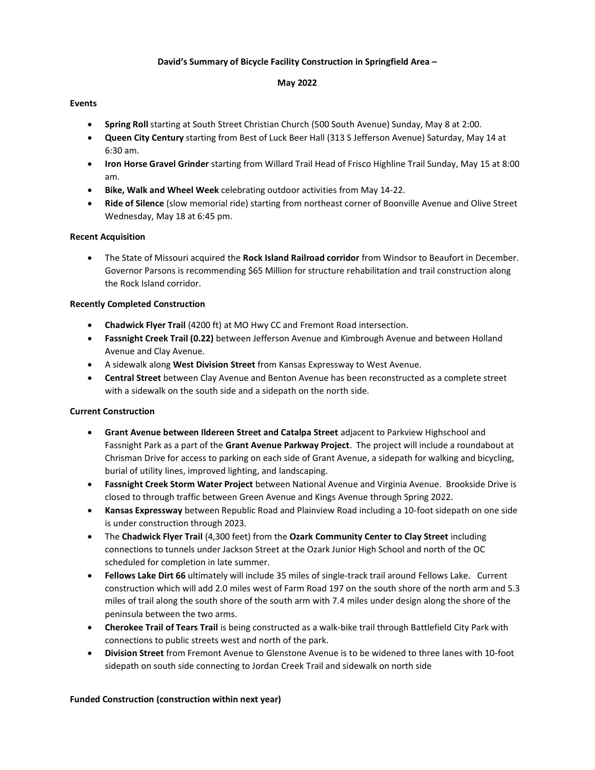### **David's Summary of Bicycle Facility Construction in Springfield Area –**

#### **May 2022**

### **Events**

- **Spring Roll** starting at South Street Christian Church (500 South Avenue) Sunday, May 8 at 2:00.
- **Queen City Century** starting from Best of Luck Beer Hall (313 S Jefferson Avenue) Saturday, May 14 at 6:30 am.
- **Iron Horse Gravel Grinder** starting from Willard Trail Head of Frisco Highline Trail Sunday, May 15 at 8:00 am.
- **Bike, Walk and Wheel Week** celebrating outdoor activities from May 14-22.
- **Ride of Silence** (slow memorial ride) starting from northeast corner of Boonville Avenue and Olive Street Wednesday, May 18 at 6:45 pm.

#### **Recent Acquisition**

• The State of Missouri acquired the **Rock Island Railroad corridor** from Windsor to Beaufort in December. Governor Parsons is recommending \$65 Million for structure rehabilitation and trail construction along the Rock Island corridor.

### **Recently Completed Construction**

- **Chadwick Flyer Trail** (4200 ft) at MO Hwy CC and Fremont Road intersection.
- **Fassnight Creek Trail (0.22)** between Jefferson Avenue and Kimbrough Avenue and between Holland Avenue and Clay Avenue.
- A sidewalk along **West Division Street** from Kansas Expressway to West Avenue.
- **Central Street** between Clay Avenue and Benton Avenue has been reconstructed as a complete street with a sidewalk on the south side and a sidepath on the north side.

### **Current Construction**

- **Grant Avenue between Ildereen Street and Catalpa Street** adjacent to Parkview Highschool and Fassnight Park as a part of the **Grant Avenue Parkway Project**. The project will include a roundabout at Chrisman Drive for access to parking on each side of Grant Avenue, a sidepath for walking and bicycling, burial of utility lines, improved lighting, and landscaping.
- **Fassnight Creek Storm Water Project** between National Avenue and Virginia Avenue. Brookside Drive is closed to through traffic between Green Avenue and Kings Avenue through Spring 2022.
- **Kansas Expressway** between Republic Road and Plainview Road including a 10-foot sidepath on one side is under construction through 2023.
- The **Chadwick Flyer Trail** (4,300 feet) from the **Ozark Community Center to Clay Street** including connections to tunnels under Jackson Street at the Ozark Junior High School and north of the OC scheduled for completion in late summer.
- **Fellows Lake Dirt 66** ultimately will include 35 miles of single-track trail around Fellows Lake. Current construction which will add 2.0 miles west of Farm Road 197 on the south shore of the north arm and 5.3 miles of trail along the south shore of the south arm with 7.4 miles under design along the shore of the peninsula between the two arms.
- **Cherokee Trail of Tears Trail** is being constructed as a walk-bike trail through Battlefield City Park with connections to public streets west and north of the park.
- **Division Street** from Fremont Avenue to Glenstone Avenue is to be widened to three lanes with 10-foot sidepath on south side connecting to Jordan Creek Trail and sidewalk on north side

#### **Funded Construction (construction within next year)**